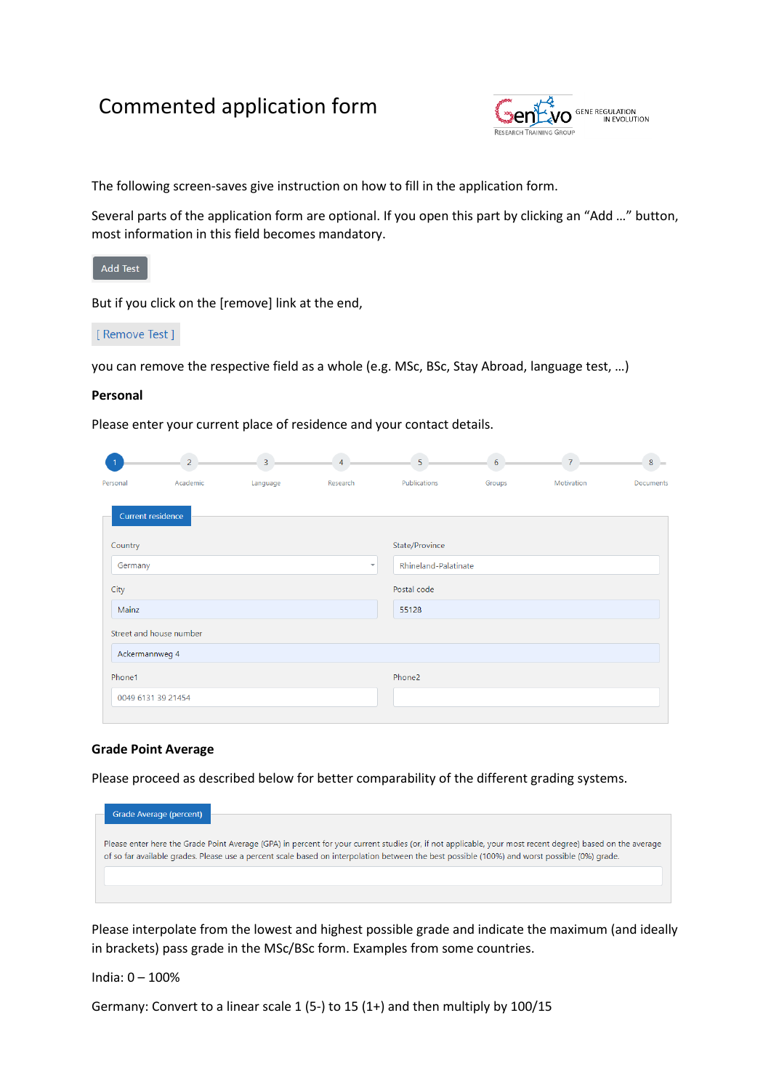# Commented application form



The following screen-saves give instruction on how to fill in the application form.

Several parts of the application form are optional. If you open this part by clicking an "Add …" button, most information in this field becomes mandatory.



But if you click on the [remove] link at the end,

# [ Remove Test ]

you can remove the respective field as a whole (e.g. MSc, BSc, Stay Abroad, language test, …)

#### **Personal**

Please enter your current place of residence and your contact details.

|                         | $\overline{2}$ | $\overline{3}$ | $\overline{4}$           | 5                           | 6      |            | $8 =$            |
|-------------------------|----------------|----------------|--------------------------|-----------------------------|--------|------------|------------------|
| Personal                | Academic       | Language       | Research                 | Publications                | Groups | Motivation | <b>Documents</b> |
| Current residence       |                |                |                          |                             |        |            |                  |
| Country                 |                |                |                          | State/Province              |        |            |                  |
| Germany                 |                |                | $\overline{\phantom{a}}$ | <b>Rhineland-Palatinate</b> |        |            |                  |
| City                    |                |                |                          | Postal code                 |        |            |                  |
| Mainz                   |                |                |                          | 55128                       |        |            |                  |
| Street and house number |                |                |                          |                             |        |            |                  |
| Ackermannweg 4          |                |                |                          |                             |        |            |                  |
| Phone1                  |                |                |                          | Phone2                      |        |            |                  |
| 0049 6131 39 21454      |                |                |                          |                             |        |            |                  |

#### **Grade Point Average**

Please proceed as described below for better comparability of the different grading systems.

| Grade Average (percent)                                                                                                                                                                                                                                                                                    |
|------------------------------------------------------------------------------------------------------------------------------------------------------------------------------------------------------------------------------------------------------------------------------------------------------------|
| Please enter here the Grade Point Average (GPA) in percent for your current studies (or, if not applicable, your most recent degree) based on the average<br>of so far available grades. Please use a percent scale based on interpolation between the best possible (100%) and worst possible (0%) grade. |
|                                                                                                                                                                                                                                                                                                            |
|                                                                                                                                                                                                                                                                                                            |

Please interpolate from the lowest and highest possible grade and indicate the maximum (and ideally in brackets) pass grade in the MSc/BSc form. Examples from some countries.

India: 0 – 100%

Germany: Convert to a linear scale 1 (5-) to 15 (1+) and then multiply by 100/15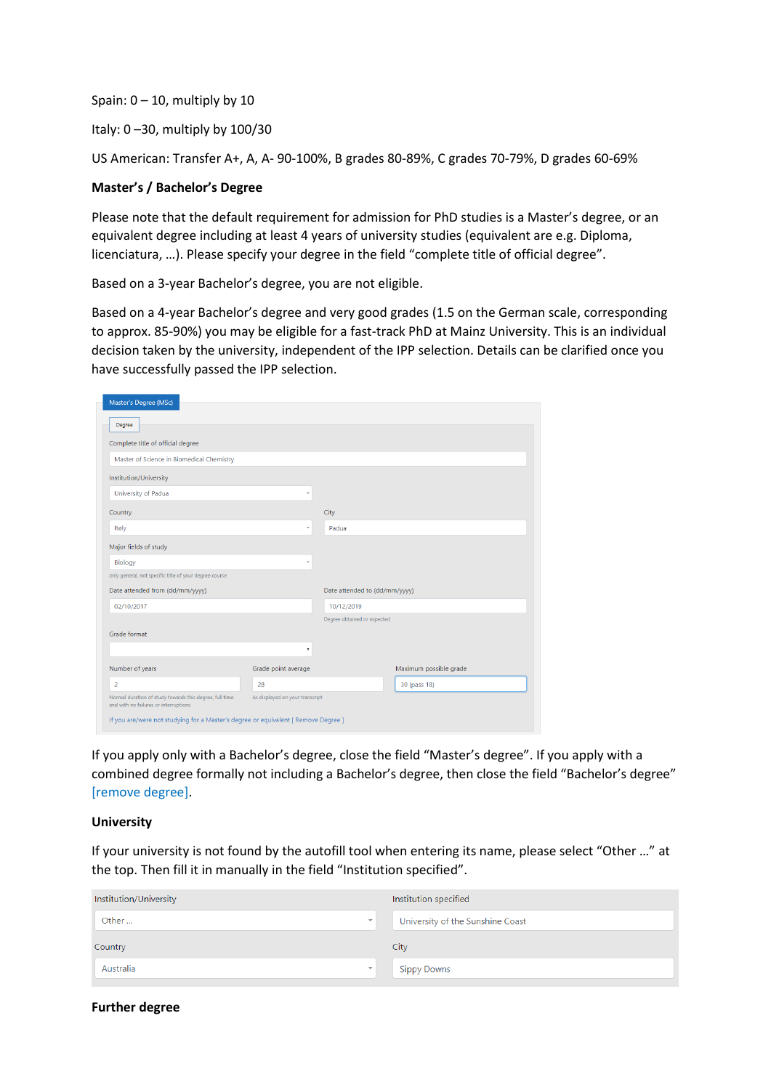Spain:  $0 - 10$ , multiply by 10

Italy:  $0 - 30$ , multiply by  $100/30$ 

US American: Transfer A+, A, A- 90-100%, B grades 80-89%, C grades 70-79%, D grades 60-69%

## **Master's / Bachelor's Degree**

Please note that the default requirement for admission for PhD studies is a Master's degree, or an equivalent degree including at least 4 years of university studies (equivalent are e.g. Diploma, licenciatura, …). Please specify your degree in the field "complete title of official degree".

Based on a 3-year Bachelor's degree, you are not eligible.

Based on a 4-year Bachelor's degree and very good grades (1.5 on the German scale, corresponding to approx. 85-90%) you may be eligible for a fast-track PhD at Mainz University. This is an individual decision taken by the university, independent of the IPP selection. Details can be clarified once you have successfully passed the IPP selection.

| Master's Degree (MSc)<br>Degree                                                                  |                                 |                               |                        |
|--------------------------------------------------------------------------------------------------|---------------------------------|-------------------------------|------------------------|
| Complete title of official degree                                                                |                                 |                               |                        |
| Master of Science in Biomedical Chemistry                                                        |                                 |                               |                        |
| Institution/University                                                                           |                                 |                               |                        |
| University of Padua                                                                              | ÷                               |                               |                        |
| Country                                                                                          |                                 | City                          |                        |
| Italy                                                                                            | $\overline{\phantom{a}}$        | Padua                         |                        |
| Major fields of study                                                                            |                                 |                               |                        |
| Biology                                                                                          | ÷                               |                               |                        |
| only general, not specific title of your degree course                                           |                                 |                               |                        |
| Date attended from (dd/mm/yyyy)                                                                  |                                 | Date attended to (dd/mm/yyyy) |                        |
| 02/10/2017                                                                                       |                                 | 10/12/2019                    |                        |
|                                                                                                  |                                 | Degree obtained or expected   |                        |
| Grade format                                                                                     |                                 |                               |                        |
|                                                                                                  | ۳                               |                               |                        |
| Number of years                                                                                  | Grade point average             |                               | Maximum possible grade |
| $\overline{2}$                                                                                   | 28                              |                               | 30 (pass 18)           |
| Normal duration of study towards this degree, full time<br>and with no failures or interruptions | As displayed on your transcript |                               |                        |
| If you are/were not studying for a Master's degree or equivalent [ Remove Degree ]               |                                 |                               |                        |

If you apply only with a Bachelor's degree, close the field "Master's degree". If you apply with a combined degree formally not including a Bachelor's degree, then close the field "Bachelor's degree" [remove degree].

#### **University**

If your university is not found by the autofill tool when entering its name, please select "Other …" at the top. Then fill it in manually in the field "Institution specified".

| Institution/University                |                    | Institution specified            |
|---------------------------------------|--------------------|----------------------------------|
| Other<br>$\overline{\phantom{a}}$     |                    | University of the Sunshine Coast |
| Country                               | City               |                                  |
| Australia<br>$\overline{\phantom{a}}$ | <b>Sippy Downs</b> |                                  |

# **Further degree**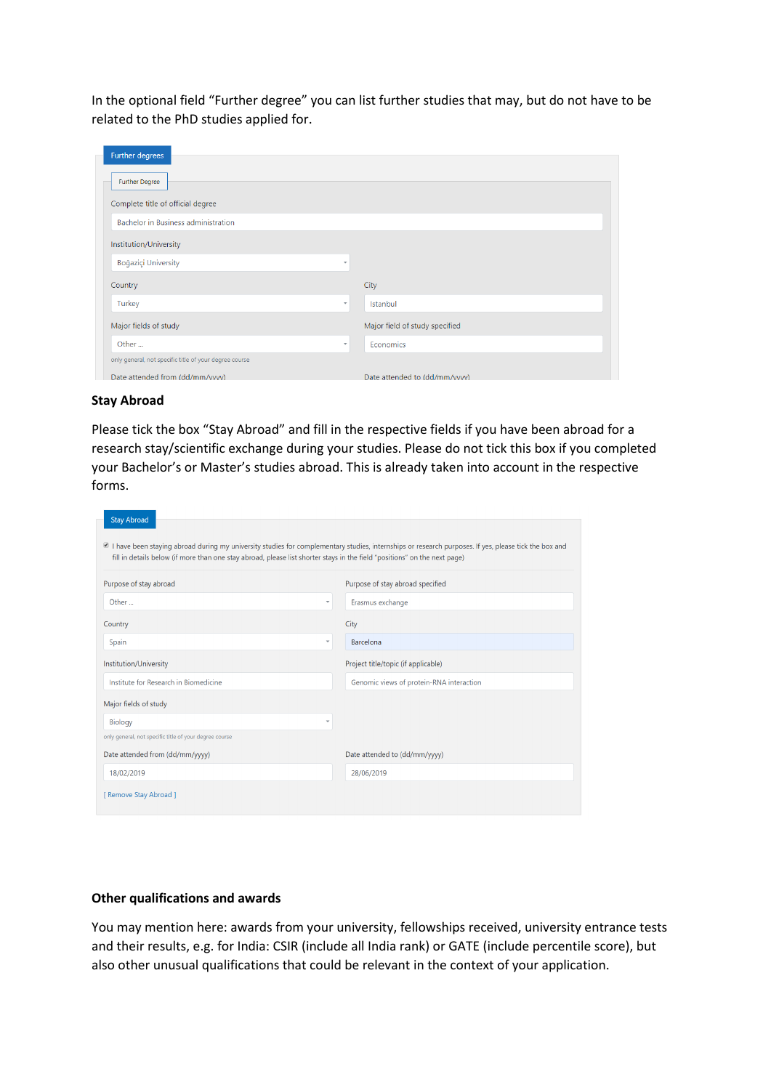In the optional field "Further degree" you can list further studies that may, but do not have to be related to the PhD studies applied for.

| Further degrees                                        |                          |                                |
|--------------------------------------------------------|--------------------------|--------------------------------|
| <b>Further Degree</b>                                  |                          |                                |
| Complete title of official degree                      |                          |                                |
| Bachelor in Business administration                    |                          |                                |
| Institution/University                                 |                          |                                |
| Boğaziçi University                                    | $\overline{\phantom{a}}$ |                                |
| Country                                                |                          | City                           |
| Turkey                                                 | $\overline{\phantom{a}}$ | Istanbul                       |
| Major fields of study                                  |                          | Major field of study specified |
| Other                                                  | $\mathbf{v}$             | Economics                      |
| only general, not specific title of your degree course |                          |                                |
| Date attended from (dd/mm/vvvv)                        |                          | Date attended to (dd/mm/vvvv)  |

## **Stay Abroad**

Please tick the box "Stay Abroad" and fill in the respective fields if you have been abroad for a research stay/scientific exchange during your studies. Please do not tick this box if you completed your Bachelor's or Master's studies abroad. This is already taken into account in the respective forms.

| <b>Stay Abroad</b>                                                                                                                                                                                                                                                                |                                          |
|-----------------------------------------------------------------------------------------------------------------------------------------------------------------------------------------------------------------------------------------------------------------------------------|------------------------------------------|
| I have been staying abroad during my university studies for complementary studies, internships or research purposes. If yes, please tick the box and<br>fill in details below (if more than one stay abroad, please list shorter stays in the field "positions" on the next page) |                                          |
| Purpose of stay abroad                                                                                                                                                                                                                                                            | Purpose of stay abroad specified         |
| Other<br>$\overline{\phantom{a}}$                                                                                                                                                                                                                                                 | Erasmus exchange                         |
| Country                                                                                                                                                                                                                                                                           | City                                     |
| Spain<br>÷                                                                                                                                                                                                                                                                        | Barcelona                                |
| Institution/University                                                                                                                                                                                                                                                            | Project title/topic (if applicable)      |
| Institute for Research in Biomedicine                                                                                                                                                                                                                                             | Genomic views of protein-RNA interaction |
| Major fields of study                                                                                                                                                                                                                                                             |                                          |
| <b>Biology</b><br>÷                                                                                                                                                                                                                                                               |                                          |
| only general, not specific title of your degree course                                                                                                                                                                                                                            |                                          |
| Date attended from (dd/mm/yyyy)                                                                                                                                                                                                                                                   | Date attended to (dd/mm/yyyy)            |
| 18/02/2019                                                                                                                                                                                                                                                                        | 28/06/2019                               |
| [ Remove Stay Abroad ]                                                                                                                                                                                                                                                            |                                          |

# **Other qualifications and awards**

You may mention here: awards from your university, fellowships received, university entrance tests and their results, e.g. for India: CSIR (include all India rank) or GATE (include percentile score), but also other unusual qualifications that could be relevant in the context of your application.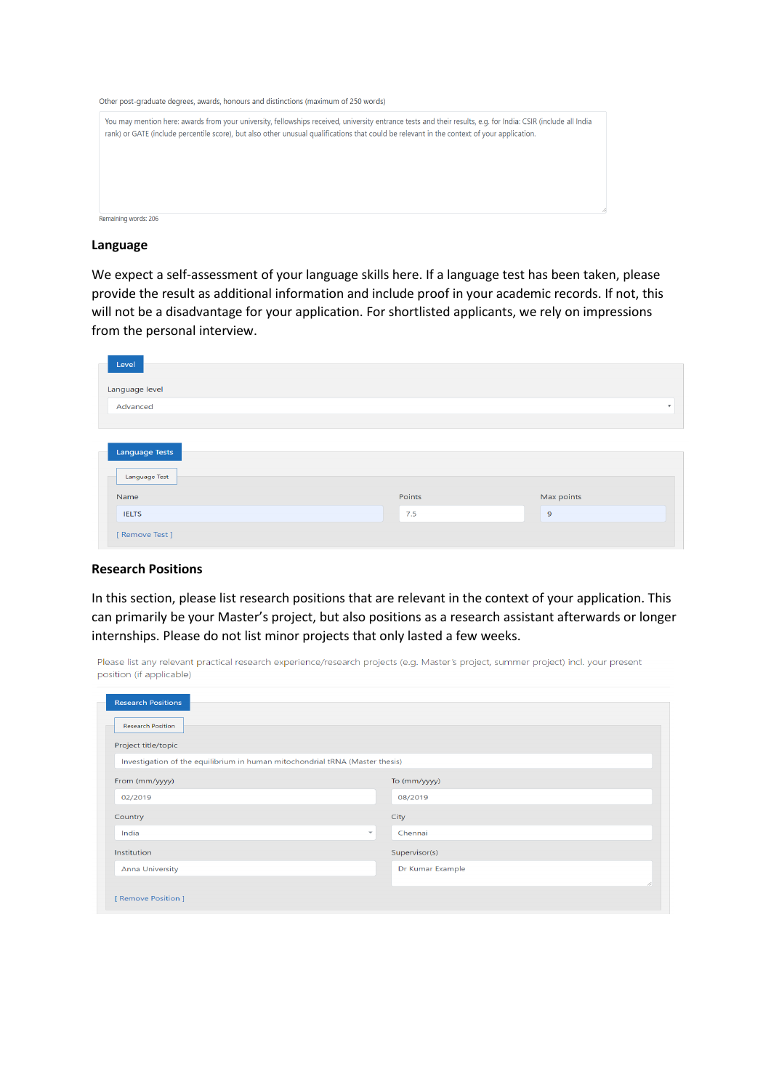Other post-graduate degrees, awards, honours and distinctions (maximum of 250 words)

| You may mention here: awards from your university, fellowships received, university entrance tests and their results, e.g. for India: CSIR (include all India<br>rank) or GATE (include percentile score), but also other unusual qualifications that could be relevant in the context of your application. |  |
|-------------------------------------------------------------------------------------------------------------------------------------------------------------------------------------------------------------------------------------------------------------------------------------------------------------|--|
|                                                                                                                                                                                                                                                                                                             |  |
|                                                                                                                                                                                                                                                                                                             |  |
| Remaining words: 206                                                                                                                                                                                                                                                                                        |  |

#### **Language**

We expect a self-assessment of your language skills here. If a language test has been taken, please provide the result as additional information and include proof in your academic records. If not, this will not be a disadvantage for your application. For shortlisted applicants, we rely on impressions from the personal interview.

| Level                 |        |                           |
|-----------------------|--------|---------------------------|
| Language level        |        |                           |
| Advanced              |        | $\boldsymbol{\mathrm{v}}$ |
|                       |        |                           |
| <b>Language Tests</b> |        |                           |
| Language Test         |        |                           |
| Name                  | Points | Max points                |
| <b>IELTS</b>          | 7.5    | $\overline{9}$            |
| [ Remove Test ]       |        |                           |

#### **Research Positions**

In this section, please list research positions that are relevant in the context of your application. This can primarily be your Master's project, but also positions as a research assistant afterwards or longer internships. Please do not list minor projects that only lasted a few weeks.

Please list any relevant practical research experience/research projects (e.g. Master's project, summer project) incl. your present position (if applicable)

| <b>Research Positions</b>                                                    |                  |
|------------------------------------------------------------------------------|------------------|
| <b>Research Position</b>                                                     |                  |
| Project title/topic                                                          |                  |
| Investigation of the equilibrium in human mitochondrial tRNA (Master thesis) |                  |
| From (mm/yyyy)                                                               | To (mm/yyyy)     |
| 02/2019                                                                      | 08/2019          |
| Country                                                                      | City             |
| India<br>$\overline{\phantom{a}}$                                            | Chennai          |
| Institution                                                                  | Supervisor(s)    |
| <b>Anna University</b>                                                       | Dr Kumar Example |
|                                                                              | 11               |
| [ Remove Position ]                                                          |                  |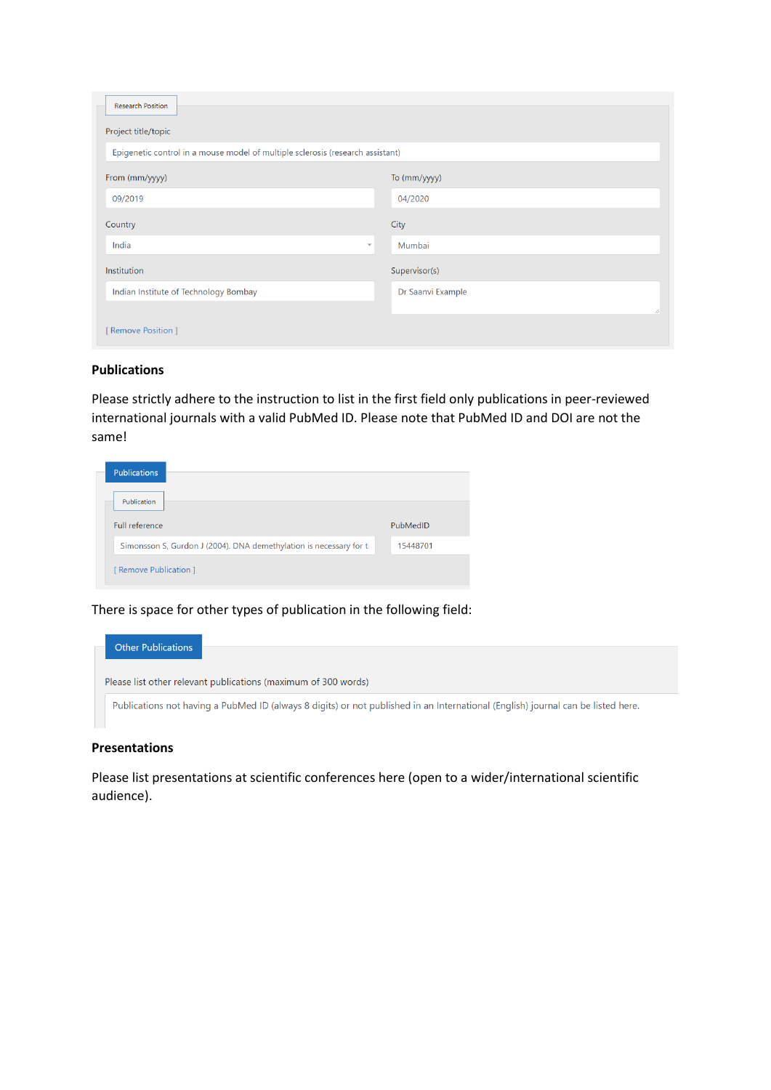| <b>Research Position</b>                                                       |                   |
|--------------------------------------------------------------------------------|-------------------|
| Project title/topic                                                            |                   |
| Epigenetic control in a mouse model of multiple sclerosis (research assistant) |                   |
| From (mm/yyyy)                                                                 | To (mm/yyyy)      |
| 09/2019                                                                        | 04/2020           |
| Country                                                                        | City              |
| India<br>$\overline{\mathbf{v}}$                                               | Mumbai            |
| Institution                                                                    | Supervisor(s)     |
| Indian Institute of Technology Bombay                                          | Dr Saanvi Example |
|                                                                                |                   |
| [ Remove Position ]                                                            |                   |

# **Publications**

Please strictly adhere to the instruction to list in the first field only publications in peer-reviewed international journals with a valid PubMed ID. Please note that PubMed ID and DOI are not the same!

| <b>Publications</b>                                                |          |
|--------------------------------------------------------------------|----------|
| Publication                                                        |          |
| Full reference                                                     | PubMedID |
| Simonsson S, Gurdon J (2004). DNA demethylation is necessary for t | 15448701 |
| [ Remove Publication ]                                             |          |

There is space for other types of publication in the following field:

| Other Publications |                                                                                                                                  |
|--------------------|----------------------------------------------------------------------------------------------------------------------------------|
|                    | Please list other relevant publications (maximum of 300 words)                                                                   |
|                    | Publications not having a PubMed ID (always 8 digits) or not published in an International (English) journal can be listed here. |

## **Presentations**

Please list presentations at scientific conferences here (open to a wider/international scientific audience).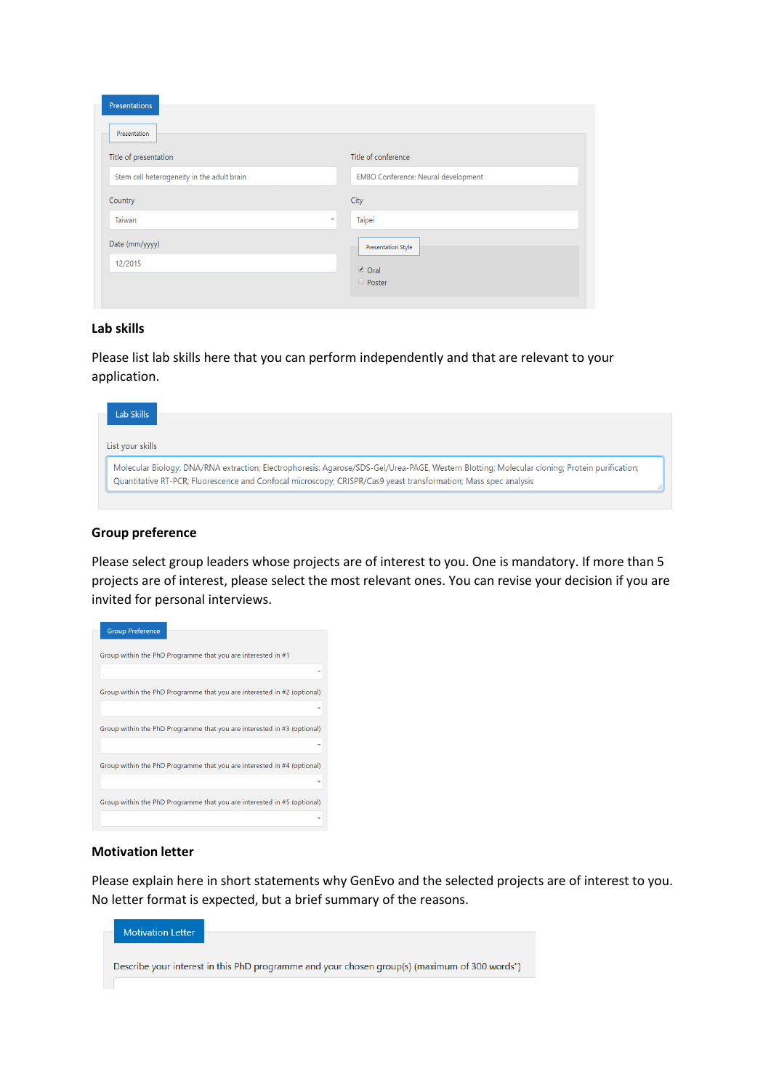| Presentations<br>Presentation              |                                     |
|--------------------------------------------|-------------------------------------|
| Title of presentation                      | Title of conference                 |
| Stem cell heterogeneity in the adult brain | EMBO Conference: Neural development |
| Country                                    | City                                |
| Taiwan<br>$\overline{\mathbf v}$           | Taipei                              |
| Date (mm/yyyy)                             | <b>Presentation Style</b>           |
| 12/2015                                    | <b>⊘</b> Oral                       |
|                                            | D Poster                            |

### **Lab skills**

Please list lab skills here that you can perform independently and that are relevant to your application.

| Lab Skills                                                                                                                                                                                                                                                       |  |
|------------------------------------------------------------------------------------------------------------------------------------------------------------------------------------------------------------------------------------------------------------------|--|
| List your skills                                                                                                                                                                                                                                                 |  |
| Molecular Biology: DNA/RNA extraction; Electrophoresis: Agarose/SDS-Gel/Urea-PAGE, Western Blotting; Molecular cloning; Protein purification;<br>Quantitative RT-PCR; Fluorescence and Confocal microscopy; CRISPR/Cas9 yeast transformation; Mass spec analysis |  |

## **Group preference**

Please select group leaders whose projects are of interest to you. One is mandatory. If more than 5 projects are of interest, please select the most relevant ones. You can revise your decision if you are invited for personal interviews.

| <b>Group Preference</b>                                                 |
|-------------------------------------------------------------------------|
| Group within the PhD Programme that you are interested in #1            |
|                                                                         |
| Group within the PhD Programme that you are interested in #2 (optional) |
|                                                                         |
| Group within the PhD Programme that you are interested in #3 (optional) |
|                                                                         |
| Group within the PhD Programme that you are interested in #4 (optional) |
|                                                                         |
| Group within the PhD Programme that you are interested in #5 (optional) |
|                                                                         |

# **Motivation letter**

Please explain here in short statements why GenEvo and the selected projects are of interest to you. No letter format is expected, but a brief summary of the reasons.

| <b>Motivation Letter</b> |                                                                                               |
|--------------------------|-----------------------------------------------------------------------------------------------|
|                          | Describe your interest in this PhD programme and your chosen group(s) (maximum of 300 words") |
|                          |                                                                                               |